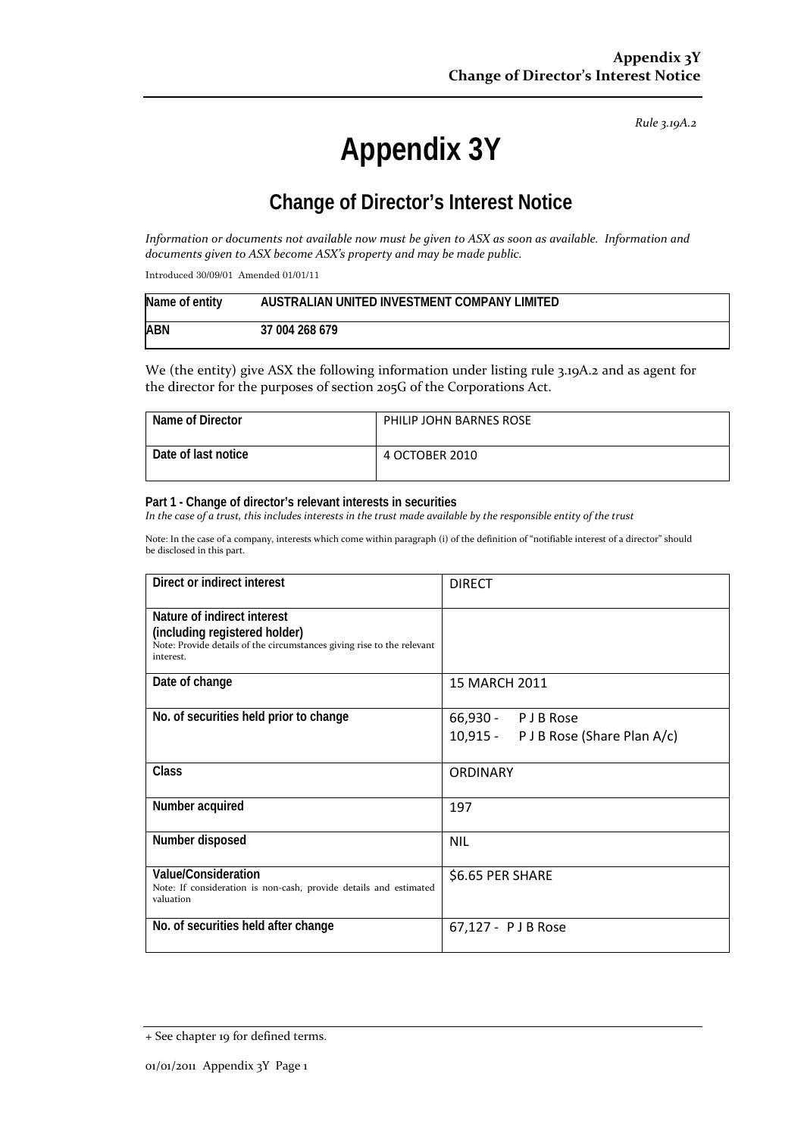*Rule 3.19A.2*

# **Appendix 3Y**

# **Change of Director's Interest Notice**

Information or documents not available now must be given to ASX as soon as available. Information and *documents given to ASX become ASX's property and may be made public.*

Introduced 30/09/01 Amended 01/01/11

| Name of entity | AUSTRALIAN UNITED INVESTMENT COMPANY LIMITED |
|----------------|----------------------------------------------|
| <b>ABN</b>     | 37 004 268 679                               |

We (the entity) give ASX the following information under listing rule 3.19A.2 and as agent for the director for the purposes of section 205G of the Corporations Act.

| Name of Director    | PHILIP JOHN BARNES ROSE |
|---------------------|-------------------------|
| Date of last notice | 4 OCTOBER 2010          |

#### **Part 1 - Change of director's relevant interests in securities**

In the case of a trust, this includes interests in the trust made available by the responsible entity of the trust

Note: In the case of a company, interests which come within paragraph (i) of the definition of "notifiable interest of a director" should be disclosed in this part.

| Direct or indirect interest                                                                                                                         | <b>DIRECT</b>                                             |
|-----------------------------------------------------------------------------------------------------------------------------------------------------|-----------------------------------------------------------|
| Nature of indirect interest<br>(including registered holder)<br>Note: Provide details of the circumstances giving rise to the relevant<br>interest. |                                                           |
| Date of change                                                                                                                                      | 15 MARCH 2011                                             |
| No. of securities held prior to change                                                                                                              | 66,930 - PJB Rose<br>10,915 - P J B Rose (Share Plan A/c) |
| <b>Class</b>                                                                                                                                        | <b>ORDINARY</b>                                           |
| Number acquired                                                                                                                                     | 197                                                       |
| Number disposed                                                                                                                                     | <b>NIL</b>                                                |
| Value/Consideration<br>Note: If consideration is non-cash, provide details and estimated<br>valuation                                               | \$6.65 PER SHARE                                          |
| No. of securities held after change                                                                                                                 | 67,127 - PJB Rose                                         |

<sup>+</sup> See chapter 19 for defined terms.